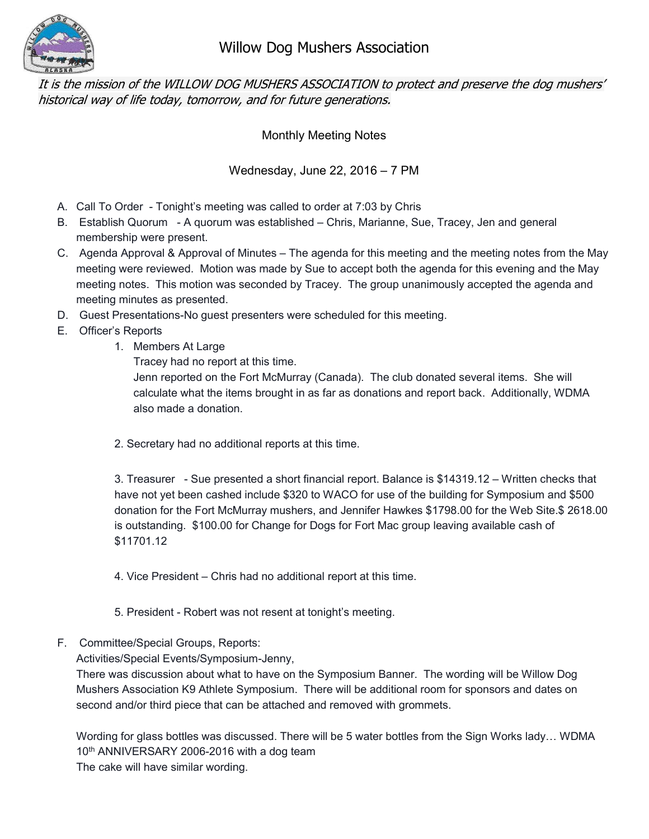

It is the mission of the WILLOW DOG MUSHERS ASSOCIATION to protect and preserve the dog mushers' historical way of life today, tomorrow, and for future generations.

Monthly Meeting Notes

Wednesday, June 22, 2016 – 7 PM

- A. Call To Order Tonight's meeting was called to order at 7:03 by Chris
- B. Establish Quorum A quorum was established Chris, Marianne, Sue, Tracey, Jen and general membership were present.
- C. Agenda Approval & Approval of Minutes The agenda for this meeting and the meeting notes from the May meeting were reviewed. Motion was made by Sue to accept both the agenda for this evening and the May meeting notes. This motion was seconded by Tracey. The group unanimously accepted the agenda and meeting minutes as presented.
- D. Guest Presentations-No guest presenters were scheduled for this meeting.
- E. Officer's Reports
	- 1. Members At Large
		- Tracey had no report at this time.

Jenn reported on the Fort McMurray (Canada). The club donated several items. She will calculate what the items brought in as far as donations and report back. Additionally, WDMA also made a donation.

2. Secretary had no additional reports at this time.

3. Treasurer - Sue presented a short financial report. Balance is \$14319.12 – Written checks that have not yet been cashed include \$320 to WACO for use of the building for Symposium and \$500 donation for the Fort McMurray mushers, and Jennifer Hawkes \$1798.00 for the Web Site.\$ 2618.00 is outstanding. \$100.00 for Change for Dogs for Fort Mac group leaving available cash of \$11701.12

4. Vice President – Chris had no additional report at this time.

- 5. President Robert was not resent at tonight's meeting.
- F. Committee/Special Groups, Reports:

Activities/Special Events/Symposium-Jenny,

There was discussion about what to have on the Symposium Banner. The wording will be Willow Dog Mushers Association K9 Athlete Symposium. There will be additional room for sponsors and dates on second and/or third piece that can be attached and removed with grommets.

Wording for glass bottles was discussed. There will be 5 water bottles from the Sign Works lady… WDMA 10<sup>th</sup> ANNIVERSARY 2006-2016 with a dog team

The cake will have similar wording.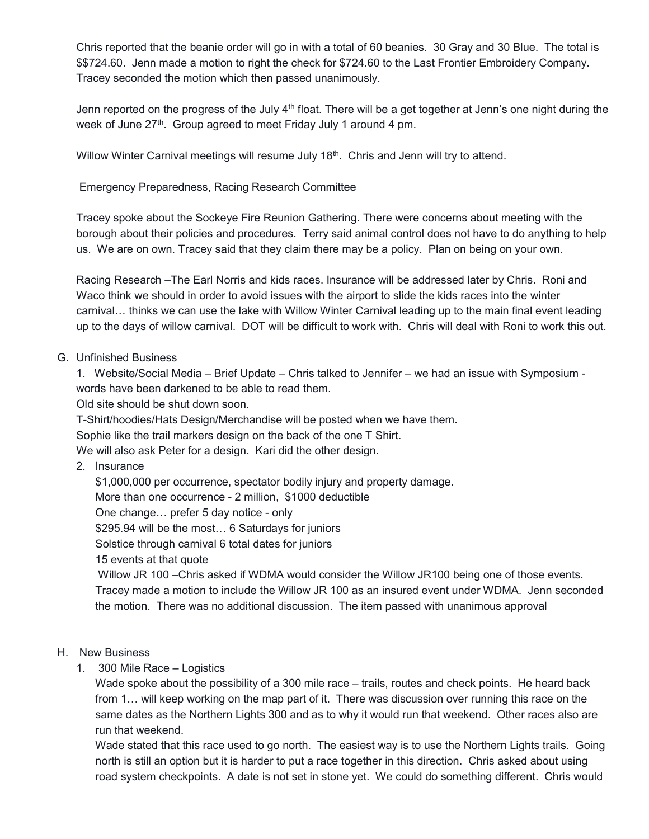Chris reported that the beanie order will go in with a total of 60 beanies. 30 Gray and 30 Blue. The total is \$\$724.60. Jenn made a motion to right the check for \$724.60 to the Last Frontier Embroidery Company. Tracey seconded the motion which then passed unanimously.

Jenn reported on the progress of the July  $4<sup>th</sup>$  float. There will be a get together at Jenn's one night during the week of June 27<sup>th</sup>. Group agreed to meet Friday July 1 around 4 pm.

Willow Winter Carnival meetings will resume July 18<sup>th</sup>. Chris and Jenn will try to attend.

Emergency Preparedness, Racing Research Committee

Tracey spoke about the Sockeye Fire Reunion Gathering. There were concerns about meeting with the borough about their policies and procedures. Terry said animal control does not have to do anything to help us. We are on own. Tracey said that they claim there may be a policy. Plan on being on your own.

Racing Research –The Earl Norris and kids races. Insurance will be addressed later by Chris. Roni and Waco think we should in order to avoid issues with the airport to slide the kids races into the winter carnival… thinks we can use the lake with Willow Winter Carnival leading up to the main final event leading up to the days of willow carnival. DOT will be difficult to work with. Chris will deal with Roni to work this out.

## G. Unfinished Business

1. Website/Social Media – Brief Update – Chris talked to Jennifer – we had an issue with Symposium words have been darkened to be able to read them.

Old site should be shut down soon.

T-Shirt/hoodies/Hats Design/Merchandise will be posted when we have them.

Sophie like the trail markers design on the back of the one T Shirt.

We will also ask Peter for a design. Kari did the other design.

2. Insurance

\$1,000,000 per occurrence, spectator bodily injury and property damage. More than one occurrence - 2 million, \$1000 deductible One change… prefer 5 day notice - only \$295.94 will be the most… 6 Saturdays for juniors Solstice through carnival 6 total dates for juniors 15 events at that quote Willow JR 100 –Chris asked if WDMA would consider the Willow JR100 being one of those events. Tracey made a motion to include the Willow JR 100 as an insured event under WDMA. Jenn seconded the motion. There was no additional discussion. The item passed with unanimous approval

## H. New Business

1. 300 Mile Race – Logistics

Wade spoke about the possibility of a 300 mile race – trails, routes and check points. He heard back from 1… will keep working on the map part of it. There was discussion over running this race on the same dates as the Northern Lights 300 and as to why it would run that weekend. Other races also are run that weekend.

Wade stated that this race used to go north. The easiest way is to use the Northern Lights trails. Going north is still an option but it is harder to put a race together in this direction. Chris asked about using road system checkpoints. A date is not set in stone yet. We could do something different. Chris would